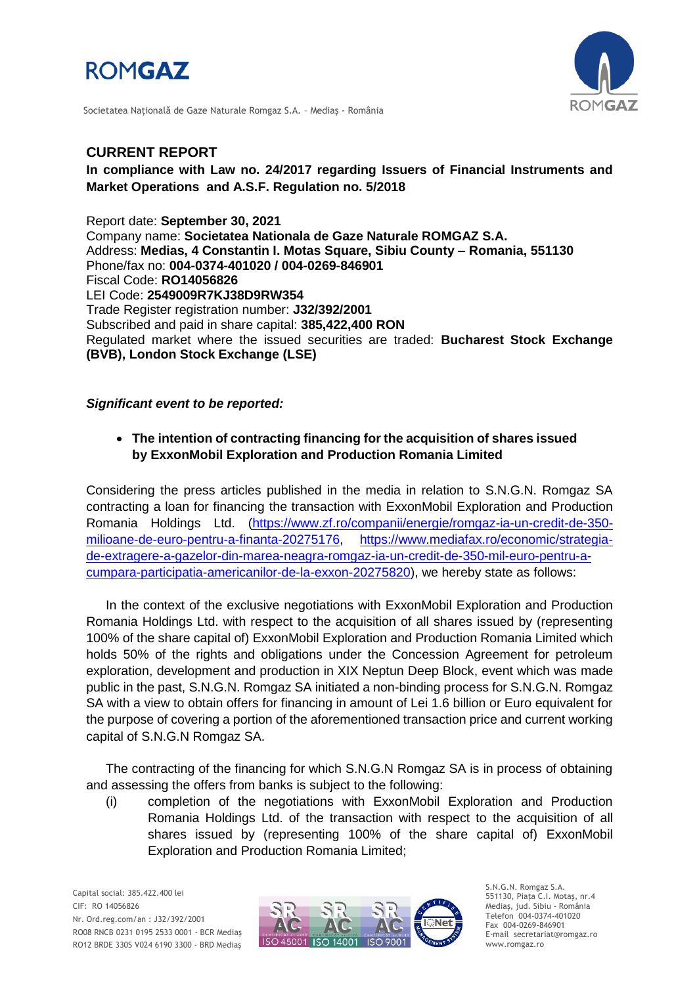



Societatea Naţională de Gaze Naturale Romgaz S.A. – Mediaş - România

## **CURRENT REPORT**

## **In compliance with Law no. 24/2017 regarding Issuers of Financial Instruments and Market Operations and A.S.F. Regulation no. 5/2018**

Report date: **September 30, 2021** Company name: **Societatea Nationala de Gaze Naturale ROMGAZ S.A.** Address: **Medias, 4 Constantin I. Motas Square, Sibiu County – Romania, 551130** Phone/fax no: **004-0374-401020 / 004-0269-846901** Fiscal Code: **RO14056826** LEI Code: **2549009R7KJ38D9RW354** Trade Register registration number: **J32/392/2001** Subscribed and paid in share capital: **385,422,400 RON** Regulated market where the issued securities are traded: **Bucharest Stock Exchange (BVB), London Stock Exchange (LSE)**

*Significant event to be reported:*

## **The intention of contracting financing for the acquisition of shares issued by ExxonMobil Exploration and Production Romania Limited**

Considering the press articles published in the media in relation to S.N.G.N. Romgaz SA contracting a loan for financing the transaction with ExxonMobil Exploration and Production Romania Holdings Ltd. [\(https://www.zf.ro/companii/energie/romgaz-ia-un-credit-de-350](https://www.zf.ro/companii/energie/romgaz-ia-un-credit-de-350-milioane-de-euro-pentru-a-finanta-20275176) [milioane-de-euro-pentru-a-finanta-20275176,](https://www.zf.ro/companii/energie/romgaz-ia-un-credit-de-350-milioane-de-euro-pentru-a-finanta-20275176) [https://www.mediafax.ro/economic/strategia](https://www.mediafax.ro/economic/strategia-de-extragere-a-gazelor-din-marea-neagra-romgaz-ia-un-credit-de-350-mil-euro-pentru-a-cumpara-participatia-americanilor-de-la-exxon-20275820)[de-extragere-a-gazelor-din-marea-neagra-romgaz-ia-un-credit-de-350-mil-euro-pentru-a](https://www.mediafax.ro/economic/strategia-de-extragere-a-gazelor-din-marea-neagra-romgaz-ia-un-credit-de-350-mil-euro-pentru-a-cumpara-participatia-americanilor-de-la-exxon-20275820)[cumpara-participatia-americanilor-de-la-exxon-20275820\)](https://www.mediafax.ro/economic/strategia-de-extragere-a-gazelor-din-marea-neagra-romgaz-ia-un-credit-de-350-mil-euro-pentru-a-cumpara-participatia-americanilor-de-la-exxon-20275820), we hereby state as follows:

In the context of the exclusive negotiations with ExxonMobil Exploration and Production Romania Holdings Ltd. with respect to the acquisition of all shares issued by (representing 100% of the share capital of) ExxonMobil Exploration and Production Romania Limited which holds 50% of the rights and obligations under the Concession Agreement for petroleum exploration, development and production in XIX Neptun Deep Block, event which was made public in the past, S.N.G.N. Romgaz SA initiated a non-binding process for S.N.G.N. Romgaz SA with a view to obtain offers for financing in amount of Lei 1.6 billion or Euro equivalent for the purpose of covering a portion of the aforementioned transaction price and current working capital of S.N.G.N Romgaz SA.

The contracting of the financing for which S.N.G.N Romgaz SA is in process of obtaining and assessing the offers from banks is subject to the following:

(i) completion of the negotiations with ExxonMobil Exploration and Production Romania Holdings Ltd. of the transaction with respect to the acquisition of all shares issued by (representing 100% of the share capital of) ExxonMobil Exploration and Production Romania Limited;



S.N.G.N. Romgaz S.A. 551130, Piața C.I. Motaş, nr.4 Mediaş, jud. Sibiu - România Telefon 004-0374-401020 Fax 004-0269-846901 E-mail secretariat@romgaz.ro www.romgaz.ro